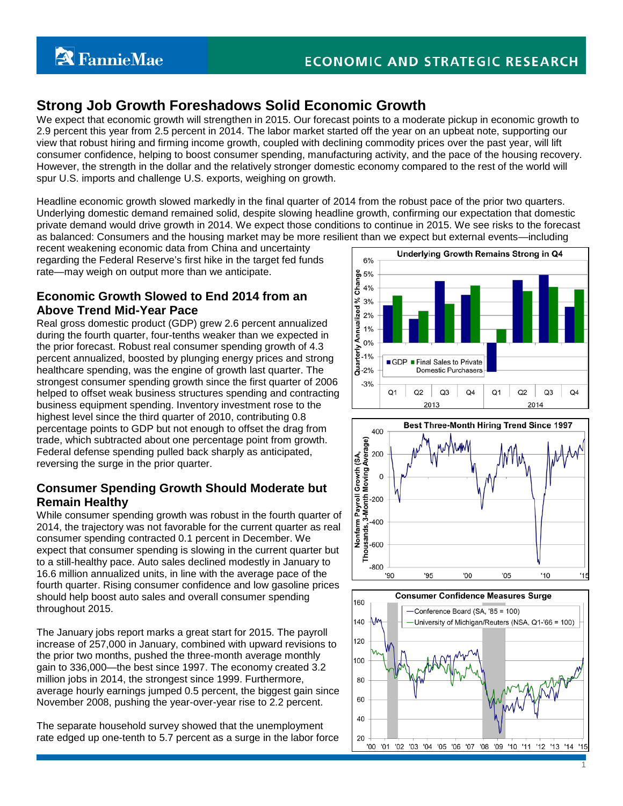# **Strong Job Growth Foreshadows Solid Economic Growth**

We expect that economic growth will strengthen in 2015. Our forecast points to a moderate pickup in economic growth to 2.9 percent this year from 2.5 percent in 2014. The labor market started off the year on an upbeat note, supporting our view that robust hiring and firming income growth, coupled with declining commodity prices over the past year, will lift consumer confidence, helping to boost consumer spending, manufacturing activity, and the pace of the housing recovery. However, the strength in the dollar and the relatively stronger domestic economy compared to the rest of the world will spur U.S. imports and challenge U.S. exports, weighing on growth.

Headline economic growth slowed markedly in the final quarter of 2014 from the robust pace of the prior two quarters. Underlying domestic demand remained solid, despite slowing headline growth, confirming our expectation that domestic private demand would drive growth in 2014. We expect those conditions to continue in 2015. We see risks to the forecast as balanced: Consumers and the housing market may be more resilient than we expect but external events—including

recent weakening economic data from China and uncertainty regarding the Federal Reserve's first hike in the target fed funds rate—may weigh on output more than we anticipate.

### **Economic Growth Slowed to End 2014 from an Above Trend Mid-Year Pace**

Real gross domestic product (GDP) grew 2.6 percent annualized during the fourth quarter, four-tenths weaker than we expected in the prior forecast. Robust real consumer spending growth of 4.3 percent annualized, boosted by plunging energy prices and strong healthcare spending, was the engine of growth last quarter. The strongest consumer spending growth since the first quarter of 2006 helped to offset weak business structures spending and contracting business equipment spending. Inventory investment rose to the highest level since the third quarter of 2010, contributing 0.8 percentage points to GDP but not enough to offset the drag from trade, which subtracted about one percentage point from growth. Federal defense spending pulled back sharply as anticipated, reversing the surge in the prior quarter.

## **Consumer Spending Growth Should Moderate but Remain Healthy**

Trade, which subtracted about one percentage point from growth.<br>
Federal defense spending pulled back sharply as anticipated,<br>
reversing the surge in the prior quarter.<br> **Consumer Spending Growth Should Moderate but**<br> **Rem** 2014, the trajectory was not favorable for the current quarter as real consumer spending contracted 0.1 percent in December. We expect that consumer spending is slowing in the current quarter but to a still-healthy pace. Auto sales declined modestly in January to 16.6 million annualized units, in line with the average pace of the fourth quarter. Rising consumer confidence and low gasoline prices should help boost auto sales and overall consumer spending throughout 2015.

The January jobs report marks a great start for 2015. The payroll increase of 257,000 in January, combined with upward revisions to the prior two months, pushed the three-month average monthly gain to 336,000—the best since 1997. The economy created 3.2 million jobs in 2014, the strongest since 1999. Furthermore, average hourly earnings jumped 0.5 percent, the biggest gain since November 2008, pushing the year-over-year rise to 2.2 percent.

The separate household survey showed that the unemployment rate edged up one-tenth to 5.7 percent as a surge in the labor force





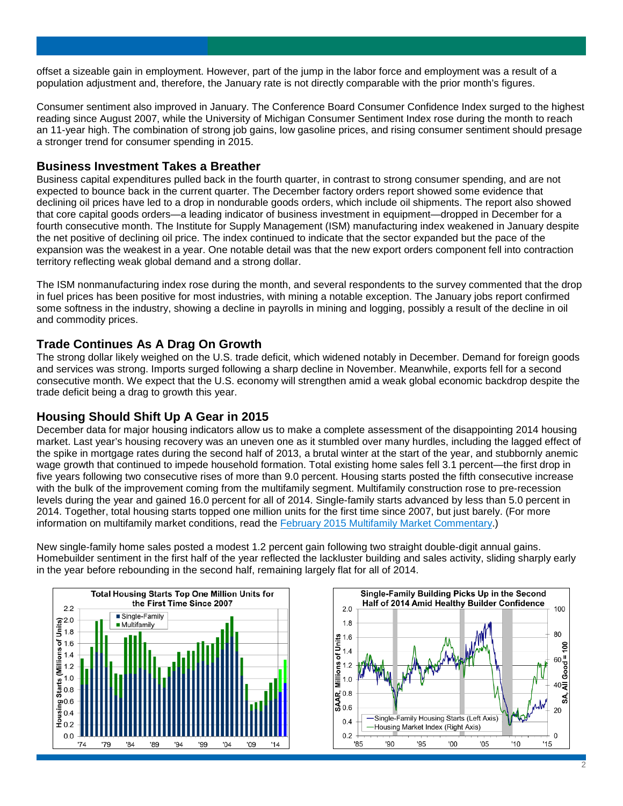offset a sizeable gain in employment. However, part of the jump in the labor force and employment was a result of a population adjustment and, therefore, the January rate is not directly comparable with the prior month's figures.

Consumer sentiment also improved in January. The Conference Board Consumer Confidence Index surged to the highest reading since August 2007, while the University of Michigan Consumer Sentiment Index rose during the month to reach an 11-year high. The combination of strong job gains, low gasoline prices, and rising consumer sentiment should presage a stronger trend for consumer spending in 2015.

#### **Business Investment Takes a Breather**

Business capital expenditures pulled back in the fourth quarter, in contrast to strong consumer spending, and are not expected to bounce back in the current quarter. The December factory orders report showed some evidence that declining oil prices have led to a drop in nondurable goods orders, which include oil shipments. The report also showed that core capital goods orders—a leading indicator of business investment in equipment—dropped in December for a fourth consecutive month. The Institute for Supply Management (ISM) manufacturing index weakened in January despite the net positive of declining oil price. The index continued to indicate that the sector expanded but the pace of the expansion was the weakest in a year. One notable detail was that the new export orders component fell into contraction territory reflecting weak global demand and a strong dollar.

The ISM nonmanufacturing index rose during the month, and several respondents to the survey commented that the drop in fuel prices has been positive for most industries, with mining a notable exception. The January jobs report confirmed some softness in the industry, showing a decline in payrolls in mining and logging, possibly a result of the decline in oil and commodity prices.

### **Trade Continues As A Drag On Growth**

The strong dollar likely weighed on the U.S. trade deficit, which widened notably in December. Demand for foreign goods and services was strong. Imports surged following a sharp decline in November. Meanwhile, exports fell for a second consecutive month. We expect that the U.S. economy will strengthen amid a weak global economic backdrop despite the trade deficit being a drag to growth this year.

#### **Housing Should Shift Up A Gear in 2015**

December data for major housing indicators allow us to make a complete assessment of the disappointing 2014 housing market. Last year's housing recovery was an uneven one as it stumbled over many hurdles, including the lagged effect of the spike in mortgage rates during the second half of 2013, a brutal winter at the start of the year, and stubbornly anemic wage growth that continued to impede household formation. Total existing home sales fell 3.1 percent—the first drop in five years following two consecutive rises of more than 9.0 percent. Housing starts posted the fifth consecutive increase with the bulk of the improvement coming from the multifamily segment. Multifamily construction rose to pre-recession levels during the year and gained 16.0 percent for all of 2014. Single-family starts advanced by less than 5.0 percent in 2014. Together, total housing starts topped one million units for the first time since 2007, but just barely. (For more information on multifamily market conditions, read the [February 2015 Multifamily Market Commentary.](http://www.fanniemae.com/resources/file/research/emma/pdf/MF_Market_Commentary_022615.pdf))

New single-family home sales posted a modest 1.2 percent gain following two straight double-digit annual gains. Homebuilder sentiment in the first half of the year reflected the lackluster building and sales activity, sliding sharply early in the year before rebounding in the second half, remaining largely flat for all of 2014.



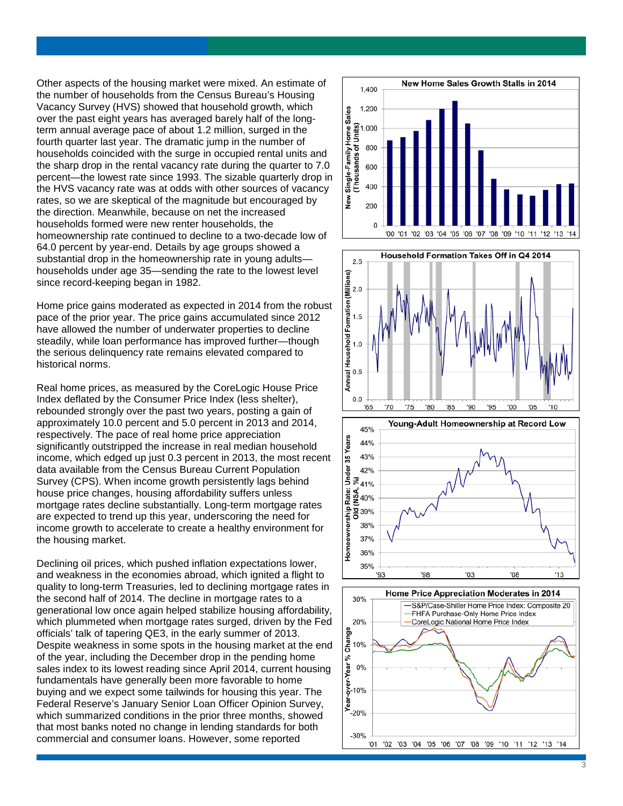Other aspects of the housing market were mixed. An estimate of the number of households from the Census Bureau's Housing Vacancy Survey (HVS) showed that household growth, which over the past eight years has averaged barely half of the long term annual average pace of about 1.2 million, surged in the fourth quarter last year. The dramatic jump in the number of households coincided with the surge in occupied rental units and the sharp drop in the rental vacancy rate during the quarter to 7.0 percent —the lowest rate since 1993. The sizable quarterly drop in the HVS vacancy rate was at odds with other sources of vacancy rates, so we are skeptical of the magnitude but encouraged by the direction. Meanwhile, because on net the increased households formed were new renter households, the homeownership rate continued to decline to a two -decade low of 64.0 percent by year -end. Details by age groups showed a substantial drop in the homeownership rate in young adults households under age 35 —sending the rate to the lowest level since record -keeping began in 1982.

Home price gains moderated as expected in 2014 from the robust pace of the prior year. The price gains accumulated since 2012 have allowed the number of underwater properties to decline steadily, while loan performance has improved further —though the serious delinquency rate remains elevated compared to historical norms.

Real home prices, as measured by the CoreLogic House Price Index deflated by the Consumer Price Index (less shelter), rebounded strongly over the past two years, posting a gain of approximately 10.0 percent and 5.0 percent in 2013 and 2014, respectively. The pace of real home price appreciation significantly outstripped the increase in real median household income, which edged up just 0.3 percent in 2013, the most recent data available from the Census Bureau Current Population Survey (CPS). When income growth persistently lags behind house price changes, housing affordability suffers unless mortgage rates decline substantially. Long -term mortgage rates are expected to trend up this year, underscoring the need for income growth to accelerate to create a healthy environment for the housing market.

Declining oil prices, which pushed inflation expectations lower, and weakness in the economies abroad, which ignited a flight to quality to long -term Treasuries, led to declining mortgage rates in the second half of 2014. The decline in mortgage rates to a generational low once again helped stabilize housing affordability, which plummeted when mortgage rates surged, driven by the Fed officials' talk of tapering QE3, in the early summer of 2013. Despite weakness in some spots in the housing market at the end of the year, including the December drop in the pending home sales index to its lowest reading since April 2014, current housing fundamentals have generally been more favorable to home buying and we expect some tailwinds for housing this year. The Federal Reserve's January Senior Loan Officer Opinion Survey, which summarized conditions in the prior three months, showed that most banks noted no change in lending standards for both commercial and consumer loans. However, some reported







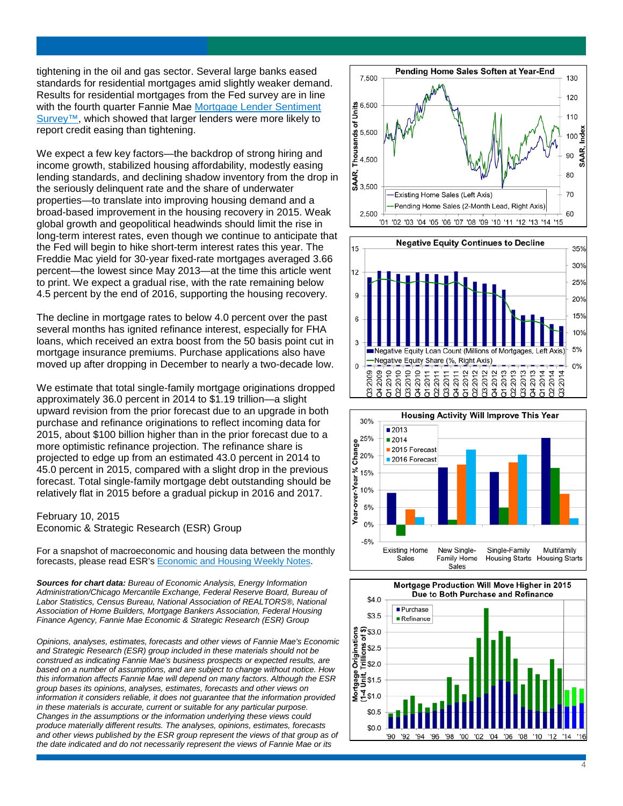tightening in the oil and gas sector. Several large banks eased standards for residential mortgages amid slightly weaker demand. Results for residential mortgages from the Fed survey are in line with the fourth quarter Fannie Mae Mortgage Lender Sentiment [Survey™,](http://fanniemae.com/portal/research-and-analysis/mortgage-lender-survey.html) which showed that larger lenders were more likely to report credit easing than tightening.

We expect a few key factors—the backdrop of strong hiring and income growth, stabilized housing affordability, modestly easing lending standards, and declining shadow inventory from the drop in the seriously delinquent rate and the share of underwater properties —to translate into improving housing demand and a broad -based improvement in the housing recovery in 2015. Weak global growth and geopolitical headwinds should limit the rise in long -term interest rates, even though we continue to anticipate that the Fed will begin to hike short -term interest rates this year. The Freddie Mac yield for 30-year fixed-rate mortgages averaged 3.66 percent —the lowest since May 2013 —at the time this article went to print. We expect a gradual rise, with the rate remaining below 4.5 percent by the end of 2016, supporting the housing recovery.

The decline in mortgage rates to below 4.0 percent over the past several months has ignited refinance interest, especially for FHA loans, which received an extra boost from the 50 basis point cut in mortgage insurance premiums. Purchase applications also have moved up after dropping in December to nearly a two -decade low.

We estimate that total single -family mortgage originations dropped approximately 36.0 percent in 2014 to \$1.19 trillion —a slight upward revision from the prior forecast due to an upgrade in both purchase and refinance originations to reflect incoming data for 2015, about \$100 billion higher than in the prior forecast due to a more optimistic refinance projection. The refinance share is projected to edge up from an estimated 43.0 percent in 2014 to 45.0 percent in 2015, compared with a slight drop in the previous forecast. Total single -family mortgage debt outstanding should be relatively flat in 2015 before a gradual pickup in 2016 and 2017.

#### February 10, 2015 Economic & Strategic Research (ESR) Group

For a snapshot of macroeconomic and housing data between the monthly forecasts, please read ESR's <u>Economic and Housing Weekly Notes</u>.

*Sources for chart data: Bureau of Economic Analysis, Energy Information Administration/Chicago Mercantile Exchange, Federal Reserve Board, Bureau of Labor Statistics, Census Bureau, National Association of REALTORS®, National Association of Home Builders, Mortgage Bankers Association, Federal Housing Finance Agency, Fannie Mae Economic & Strategic Research (ESR) Group*

*Opinions, analyses, estimates, forecasts and other views of Fannie Mae's Economic and Strategic Research (ESR) group included in these materials should not be construed as indicating Fannie Mae's business prospects or expected results, are based on a number of assumptions, and are subject to change without notice. How this information affects Fannie Mae will depend on many factors. Although the ESR group bases its opinions, analyses, estimates, forecasts and other views on information it considers reliable, it does not guarantee that the information provided in these materials is accurate, current or suitable for any particular purpose. Changes in the assumptions or the information underlying these views could produce materially different results. The analyses, opinions, estimates, forecasts*  and other views published by the ESR group represent the views of that group as of *the date indicated and do not necessarily represent the views of Fannie Mae or its*